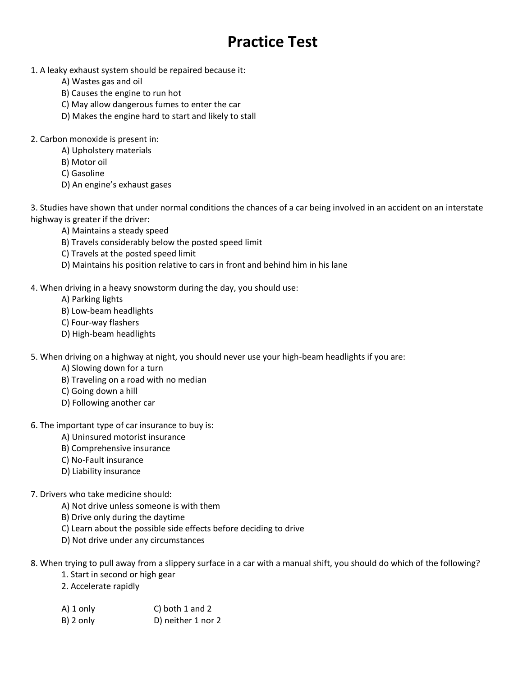- 1. A leaky exhaust system should be repaired because it:
	- A) Wastes gas and oil
	- B) Causes the engine to run hot
	- C) May allow dangerous fumes to enter the car
	- D) Makes the engine hard to start and likely to stall
- 2. Carbon monoxide is present in:
	- A) Upholstery materials
	- B) Motor oil
	- C) Gasoline
	- D) An engine's exhaust gases

3. Studies have shown that under normal conditions the chances of a car being involved in an accident on an interstate highway is greater if the driver:

- A) Maintains a steady speed
- B) Travels considerably below the posted speed limit
- C) Travels at the posted speed limit
- D) Maintains his position relative to cars in front and behind him in his lane
- 4. When driving in a heavy snowstorm during the day, you should use:
	- A) Parking lights
	- B) Low-beam headlights
	- C) Four-way flashers
	- D) High-beam headlights

5. When driving on a highway at night, you should never use your high-beam headlights if you are:

- A) Slowing down for a turn
- B) Traveling on a road with no median
- C) Going down a hill
- D) Following another car
- 6. The important type of car insurance to buy is:
	- A) Uninsured motorist insurance
	- B) Comprehensive insurance
	- C) No-Fault insurance
	- D) Liability insurance
- 7. Drivers who take medicine should:
	- A) Not drive unless someone is with them
	- B) Drive only during the daytime
	- C) Learn about the possible side effects before deciding to drive
	- D) Not drive under any circumstances
- 8. When trying to pull away from a slippery surface in a car with a manual shift, you should do which of the following?
	- 1. Start in second or high gear
	- 2. Accelerate rapidly
	- A) 1 only C) both 1 and 2 B) 2 only D) neither 1 nor 2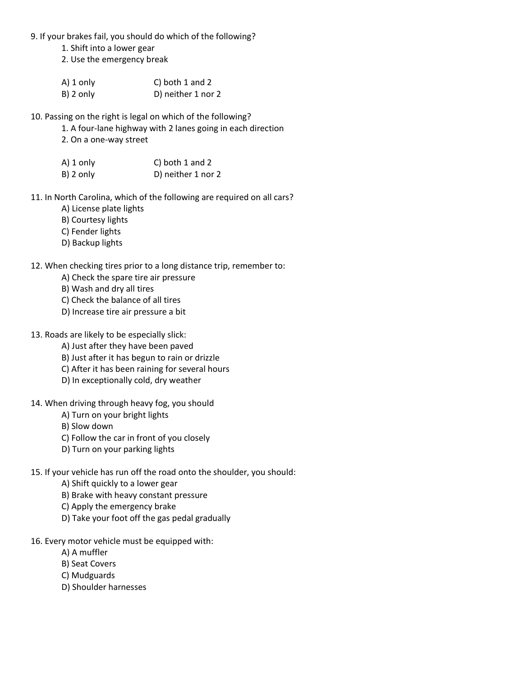9. If your brakes fail, you should do which of the following?

1. Shift into a lower gear

2. Use the emergency break

| A) 1 only    | C) both $1$ and $2$ |
|--------------|---------------------|
| $B$ ) 2 only | D) neither 1 nor 2  |

10. Passing on the right is legal on which of the following?

- 1. A four-lane highway with 2 lanes going in each direction
- 2. On a one-way street

| A) 1 only    | C) both $1$ and $2$ |
|--------------|---------------------|
| $B$ ) 2 only | D) neither 1 nor 2  |

- 11. In North Carolina, which of the following are required on all cars?
	- A) License plate lights
	- B) Courtesy lights
	- C) Fender lights
	- D) Backup lights

## 12. When checking tires prior to a long distance trip, remember to:

- A) Check the spare tire air pressure
- B) Wash and dry all tires
- C) Check the balance of all tires
- D) Increase tire air pressure a bit
- 13. Roads are likely to be especially slick:
	- A) Just after they have been paved
	- B) Just after it has begun to rain or drizzle
	- C) After it has been raining for several hours
	- D) In exceptionally cold, dry weather
- 14. When driving through heavy fog, you should
	- A) Turn on your bright lights
	- B) Slow down
	- C) Follow the car in front of you closely
	- D) Turn on your parking lights
- 15. If your vehicle has run off the road onto the shoulder, you should:
	- A) Shift quickly to a lower gear
	- B) Brake with heavy constant pressure
	- C) Apply the emergency brake
	- D) Take your foot off the gas pedal gradually
- 16. Every motor vehicle must be equipped with:
	- A) A muffler
	- B) Seat Covers
	- C) Mudguards
	- D) Shoulder harnesses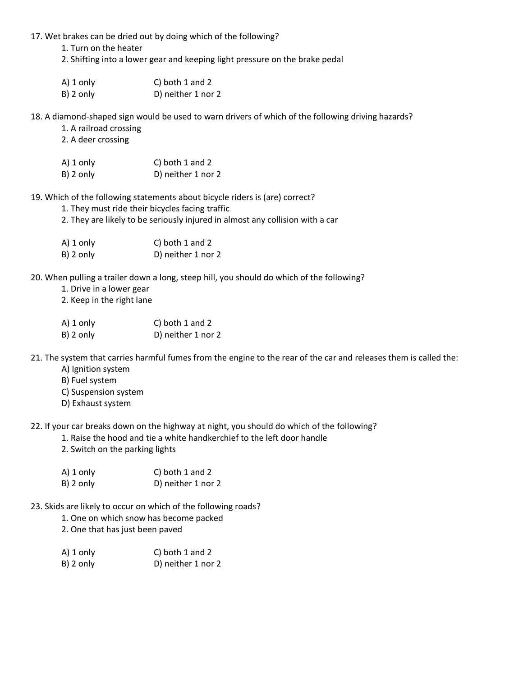17. Wet brakes can be dried out by doing which of the following?

1. Turn on the heater

2. Shifting into a lower gear and keeping light pressure on the brake pedal

| $A)$ 1 only  | C) both 1 and 2    |
|--------------|--------------------|
| $B$ ) 2 only | D) neither 1 nor 2 |

18. A diamond-shaped sign would be used to warn drivers of which of the following driving hazards?

1. A railroad crossing

2. A deer crossing

| $A)$ 1 only  | C) both 1 and 2    |
|--------------|--------------------|
| $B$ ) 2 only | D) neither 1 nor 2 |

19. Which of the following statements about bicycle riders is (are) correct?

1. They must ride their bicycles facing traffic

2. They are likely to be seriously injured in almost any collision with a car

| A) 1 only    | C) both 1 and 2    |
|--------------|--------------------|
| $B$ ) 2 only | D) neither 1 nor 2 |

20. When pulling a trailer down a long, steep hill, you should do which of the following?

1. Drive in a lower gear

2. Keep in the right lane

A) 1 only C) both 1 and 2 B) 2 only D) neither 1 nor 2

21. The system that carries harmful fumes from the engine to the rear of the car and releases them is called the:

- A) Ignition system
- B) Fuel system
- C) Suspension system
- D) Exhaust system

22. If your car breaks down on the highway at night, you should do which of the following?

- 1. Raise the hood and tie a white handkerchief to the left door handle
- 2. Switch on the parking lights

| A) 1 only    | C) both $1$ and $2$ |
|--------------|---------------------|
| $B$ ) 2 only | D) neither 1 nor 2  |

- 23. Skids are likely to occur on which of the following roads?
	- 1. One on which snow has become packed

2. One that has just been paved

| A) 1 only    | C) both 1 and 2    |
|--------------|--------------------|
| $B$ ) 2 only | D) neither 1 nor 2 |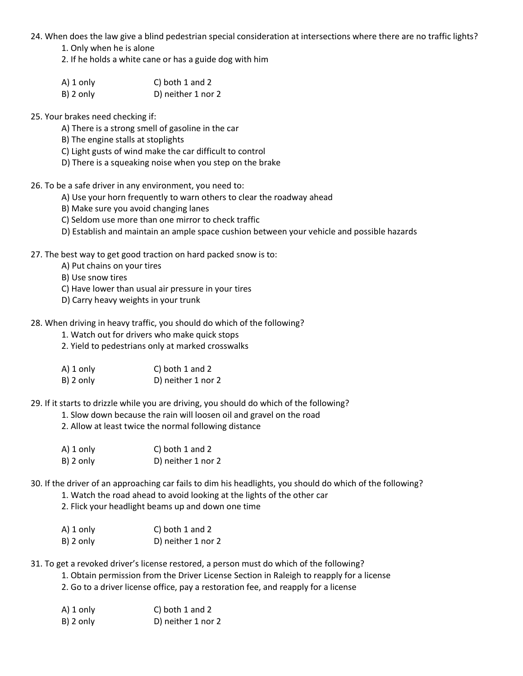- 24. When does the law give a blind pedestrian special consideration at intersections where there are no traffic lights?
	- 1. Only when he is alone
	- 2. If he holds a white cane or has a guide dog with him
	- A) 1 only C) both 1 and 2 B) 2 only D) neither 1 nor 2
- 25. Your brakes need checking if:
	- A) There is a strong smell of gasoline in the car
	- B) The engine stalls at stoplights
	- C) Light gusts of wind make the car difficult to control
	- D) There is a squeaking noise when you step on the brake
- 26. To be a safe driver in any environment, you need to:
	- A) Use your horn frequently to warn others to clear the roadway ahead
	- B) Make sure you avoid changing lanes
	- C) Seldom use more than one mirror to check traffic
	- D) Establish and maintain an ample space cushion between your vehicle and possible hazards
- 27. The best way to get good traction on hard packed snow is to:
	- A) Put chains on your tires
	- B) Use snow tires
	- C) Have lower than usual air pressure in your tires
	- D) Carry heavy weights in your trunk
- 28. When driving in heavy traffic, you should do which of the following?
	- 1. Watch out for drivers who make quick stops
	- 2. Yield to pedestrians only at marked crosswalks

| A) 1 only | C) both $1$ and $2$ |
|-----------|---------------------|
| B) 2 only | D) neither 1 nor 2  |

29. If it starts to drizzle while you are driving, you should do which of the following?

- 1. Slow down because the rain will loosen oil and gravel on the road
- 2. Allow at least twice the normal following distance

| A) 1 only | C) both 1 and 2    |
|-----------|--------------------|
| B) 2 only | D) neither 1 nor 2 |

30. If the driver of an approaching car fails to dim his headlights, you should do which of the following?

- 1. Watch the road ahead to avoid looking at the lights of the other car
- 2. Flick your headlight beams up and down one time
- A) 1 only C) both 1 and 2 B) 2 only D) neither 1 nor 2

31. To get a revoked driver's license restored, a person must do which of the following?

- 1. Obtain permission from the Driver License Section in Raleigh to reapply for a license
- 2. Go to a driver license office, pay a restoration fee, and reapply for a license

| A) 1 only | C) both 1 and 2    |
|-----------|--------------------|
| B) 2 only | D) neither 1 nor 2 |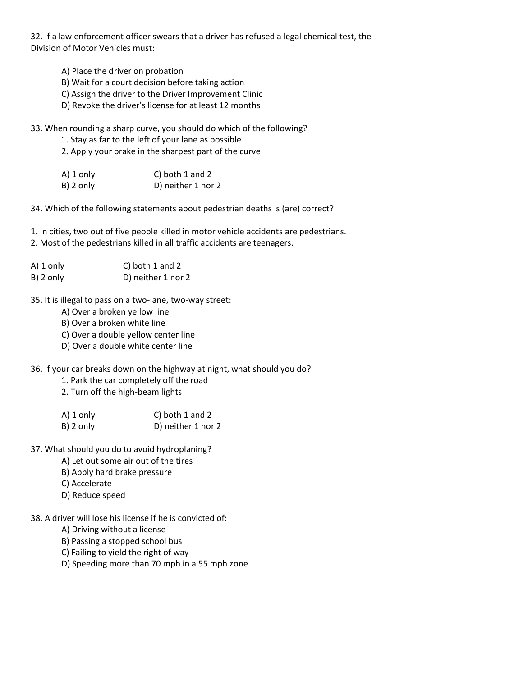32. If a law enforcement officer swears that a driver has refused a legal chemical test, the Division of Motor Vehicles must:

- A) Place the driver on probation
- B) Wait for a court decision before taking action
- C) Assign the driver to the Driver Improvement Clinic
- D) Revoke the driver's license for at least 12 months

33. When rounding a sharp curve, you should do which of the following?

- 1. Stay as far to the left of your lane as possible
- 2. Apply your brake in the sharpest part of the curve

| A) 1 only | C) both 1 and 2    |
|-----------|--------------------|
| B) 2 only | D) neither 1 nor 2 |

34. Which of the following statements about pedestrian deaths is (are) correct?

1. In cities, two out of five people killed in motor vehicle accidents are pedestrians.

2. Most of the pedestrians killed in all traffic accidents are teenagers.

| $A)$ 1 only  | C) both 1 and 2    |
|--------------|--------------------|
| $B$ ) 2 only | D) neither 1 nor 2 |

35. It is illegal to pass on a two-lane, two-way street:

- A) Over a broken yellow line
- B) Over a broken white line
- C) Over a double yellow center line
- D) Over a double white center line

36. If your car breaks down on the highway at night, what should you do?

- 1. Park the car completely off the road
- 2. Turn off the high-beam lights

| A) 1 only    | C) both $1$ and $2$ |
|--------------|---------------------|
| $B$ ) 2 only | D) neither 1 nor 2  |

- 37. What should you do to avoid hydroplaning?
	- A) Let out some air out of the tires
	- B) Apply hard brake pressure
	- C) Accelerate
	- D) Reduce speed
- 38. A driver will lose his license if he is convicted of:
	- A) Driving without a license
	- B) Passing a stopped school bus
	- C) Failing to yield the right of way
	- D) Speeding more than 70 mph in a 55 mph zone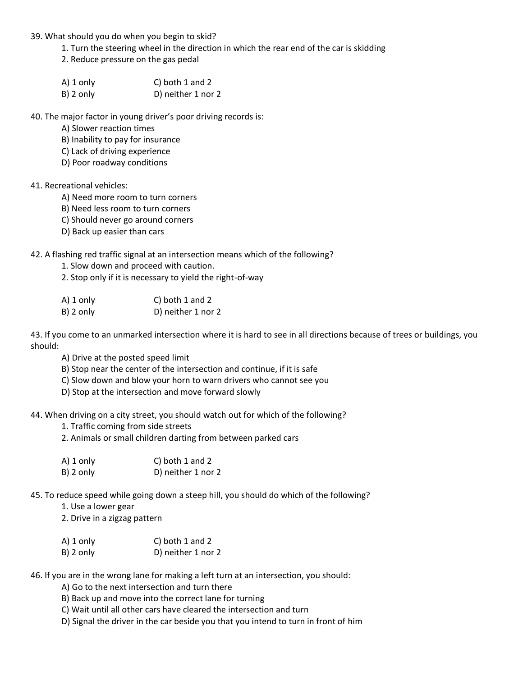- 39. What should you do when you begin to skid?
	- 1. Turn the steering wheel in the direction in which the rear end of the car is skidding
	- 2. Reduce pressure on the gas pedal
	- A) 1 only C) both 1 and 2 B) 2 only D) neither 1 nor 2

40. The major factor in young driver's poor driving records is:

- A) Slower reaction times
- B) Inability to pay for insurance
- C) Lack of driving experience
- D) Poor roadway conditions

## 41. Recreational vehicles:

- A) Need more room to turn corners
- B) Need less room to turn corners
- C) Should never go around corners
- D) Back up easier than cars

42. A flashing red traffic signal at an intersection means which of the following?

- 1. Slow down and proceed with caution.
- 2. Stop only if it is necessary to yield the right-of-way

| A) 1 only | C) both 1 and 2    |
|-----------|--------------------|
| B) 2 only | D) neither 1 nor 2 |

43. If you come to an unmarked intersection where it is hard to see in all directions because of trees or buildings, you should:

A) Drive at the posted speed limit

B) Stop near the center of the intersection and continue, if it is safe

C) Slow down and blow your horn to warn drivers who cannot see you

D) Stop at the intersection and move forward slowly

44. When driving on a city street, you should watch out for which of the following?

- 1. Traffic coming from side streets
- 2. Animals or small children darting from between parked cars

| A) 1 only    | C) both $1$ and $2$ |
|--------------|---------------------|
| $B$ ) 2 only | D) neither 1 nor 2  |

45. To reduce speed while going down a steep hill, you should do which of the following?

1. Use a lower gear

2. Drive in a zigzag pattern

| A) 1 only    | C) both $1$ and $2$ |
|--------------|---------------------|
| $B$ ) 2 only | D) neither 1 nor 2  |

46. If you are in the wrong lane for making a left turn at an intersection, you should:

A) Go to the next intersection and turn there

B) Back up and move into the correct lane for turning

C) Wait until all other cars have cleared the intersection and turn

D) Signal the driver in the car beside you that you intend to turn in front of him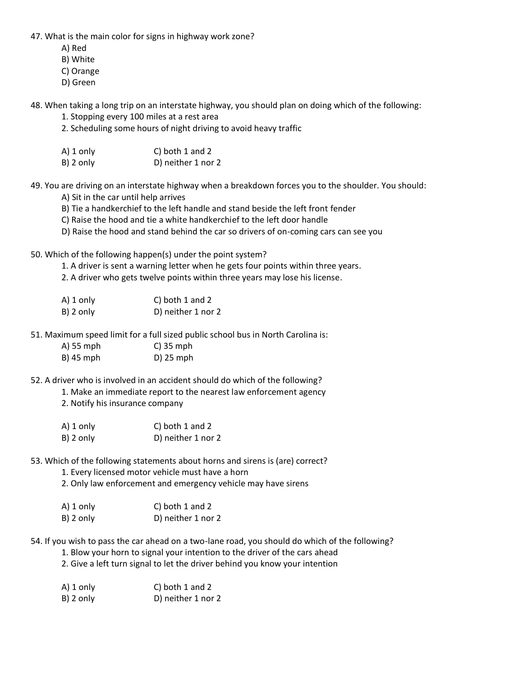47. What is the main color for signs in highway work zone?

- A) Red
- B) White
- C) Orange
- D) Green

48. When taking a long trip on an interstate highway, you should plan on doing which of the following:

- 1. Stopping every 100 miles at a rest area
- 2. Scheduling some hours of night driving to avoid heavy traffic
- A) 1 only C) both 1 and 2 B) 2 only D) neither 1 nor 2

49. You are driving on an interstate highway when a breakdown forces you to the shoulder. You should:

A) Sit in the car until help arrives

- B) Tie a handkerchief to the left handle and stand beside the left front fender
- C) Raise the hood and tie a white handkerchief to the left door handle
- D) Raise the hood and stand behind the car so drivers of on-coming cars can see you

50. Which of the following happen(s) under the point system?

- 1. A driver is sent a warning letter when he gets four points within three years.
- 2. A driver who gets twelve points within three years may lose his license.
- A) 1 only C) both 1 and 2 B) 2 only D) neither 1 nor 2

51. Maximum speed limit for a full sized public school bus in North Carolina is:

| A) 55 mph   | $C$ ) 35 mph |
|-------------|--------------|
| $B)$ 45 mph | $D$ ) 25 mph |

52. A driver who is involved in an accident should do which of the following?

1. Make an immediate report to the nearest law enforcement agency

2. Notify his insurance company

| A) 1 only | C) both 1 and 2    |
|-----------|--------------------|
| B) 2 only | D) neither 1 nor 2 |

53. Which of the following statements about horns and sirens is (are) correct?

- 1. Every licensed motor vehicle must have a horn
- 2. Only law enforcement and emergency vehicle may have sirens

| $A)$ 1 only  | C) both 1 and 2    |
|--------------|--------------------|
| $B$ ) 2 only | D) neither 1 nor 2 |

54. If you wish to pass the car ahead on a two-lane road, you should do which of the following?

- 1. Blow your horn to signal your intention to the driver of the cars ahead
- 2. Give a left turn signal to let the driver behind you know your intention

| A) 1 only | C) both 1 and 2    |
|-----------|--------------------|
| B) 2 only | D) neither 1 nor 2 |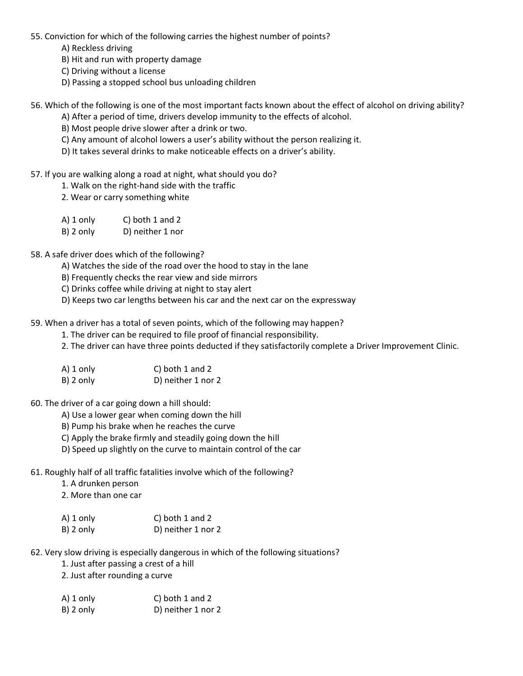- 55. Conviction for which of the following carries the highest number of points?
	- A) Reckless driving
	- B) Hit and run with property damage
	- C) Driving without a license
	- D) Passing a stopped school bus unloading children
- 56. Which of the following is one of the most important facts known about the effect of alcohol on driving ability?
	- A) After a period of time, drivers develop immunity to the effects of alcohol.
	- B) Most people drive slower after a drink or two.
	- C) Any amount of alcohol lowers a user's ability without the person realizing it.
	- D) It takes several drinks to make noticeable effects on a driver's ability.
- 57. If you are walking along a road at night, what should you do?
	- 1. Walk on the right-hand side with the traffic
	- 2. Wear or carry something white
	- A) 1 only C) both 1 and 2
	- B) 2 only D) neither 1 nor
- 58. A safe driver does which of the following?
	- A) Watches the side of the road over the hood to stay in the lane
	- B) Frequently checks the rear view and side mirrors
	- C) Drinks coffee while driving at night to stay alert
	- D) Keeps two car lengths between his car and the next car on the expressway
- 59. When a driver has a total of seven points, which of the following may happen?
	- 1. The driver can be required to file proof of financial responsibility.
	- 2. The driver can have three points deducted if they satisfactorily complete a Driver Improvement Clinic.
	- A) 1 only C) both 1 and 2 B) 2 only D) neither 1 nor 2
- 60. The driver of a car going down a hill should:
	- A) Use a lower gear when coming down the hill
	- B) Pump his brake when he reaches the curve
	- C) Apply the brake firmly and steadily going down the hill
	- D) Speed up slightly on the curve to maintain control of the car
- 61. Roughly half of all traffic fatalities involve which of the following?
	- 1. A drunken person
	- 2. More than one car

| $A)$ 1 only  | C) both 1 and 2    |
|--------------|--------------------|
| $B$ ) 2 only | D) neither 1 nor 2 |

- 62. Very slow driving is especially dangerous in which of the following situations?
	- 1. Just after passing a crest of a hill
	- 2. Just after rounding a curve
	- A) 1 only C) both 1 and 2 B) 2 only D) neither 1 nor 2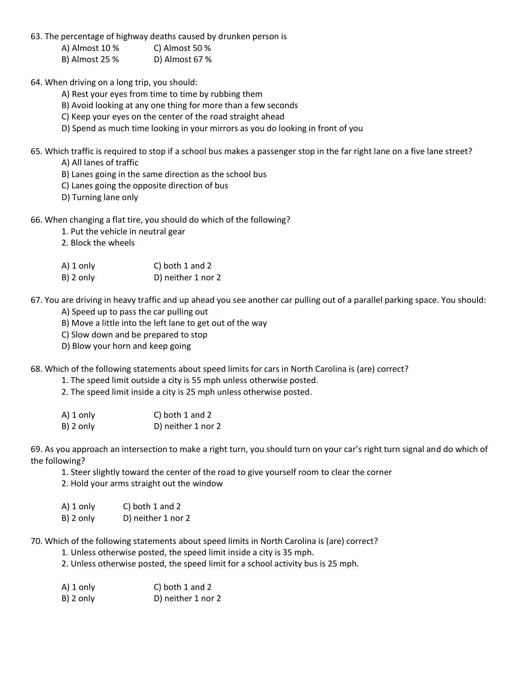63. The percentage of highway deaths caused by drunken person is

- A) Almost 10 % C) Almost 50 % B) Almost 25 % D) Almost 67 %
- 64. When driving on a long trip, you should:
	- A) Rest your eyes from time to time by rubbing them
	- B) Avoid looking at any one thing for more than a few seconds
	- C) Keep your eyes on the center of the road straight ahead
	- D) Spend as much time looking in your mirrors as you do looking in front of you
- 65. Which traffic is required to stop if a school bus makes a passenger stop in the far right lane on a five lane street?
	- A) All lanes of traffic
	- B) Lanes going in the same direction as the school bus
	- C) Lanes going the opposite direction of bus
	- D) Turning lane only
- 66. When changing a flat tire, you should do which of the following?
	- 1. Put the vehicle in neutral gear
	- 2. Block the wheels
	- A) 1 only C) both 1 and 2 B) 2 only D) neither 1 nor 2
- 67. You are driving in heavy traffic and up ahead you see another car pulling out of a parallel parking space. You should:
	- A) Speed up to pass the car pulling out
	- B) Move a little into the left lane to get out of the way
	- C) Slow down and be prepared to stop
	- D) Blow your horn and keep going
- 68. Which of the following statements about speed limits for cars in North Carolina is (are) correct?
	- 1. The speed limit outside a city is 55 mph unless otherwise posted.
	- 2. The speed limit inside a city is 25 mph unless otherwise posted.
	- A) 1 only C) both 1 and 2 B) 2 only D) neither 1 nor 2

69. As you approach an intersection to make a right turn, you should turn on your car's right turn signal and do which of the following?

- 1. Steer slightly toward the center of the road to give yourself room to clear the corner
- 2. Hold your arms straight out the window
- A) 1 only C) both 1 and 2
- B) 2 only D) neither 1 nor 2

70. Which of the following statements about speed limits in North Carolina is (are) correct?

- 1. Unless otherwise posted, the speed limit inside a city is 35 mph.
- 2. Unless otherwise posted, the speed limit for a school activity bus is 25 mph.

| A) 1 only    | C) both $1$ and $2$ |
|--------------|---------------------|
| $B$ ) 2 only | D) neither 1 nor 2  |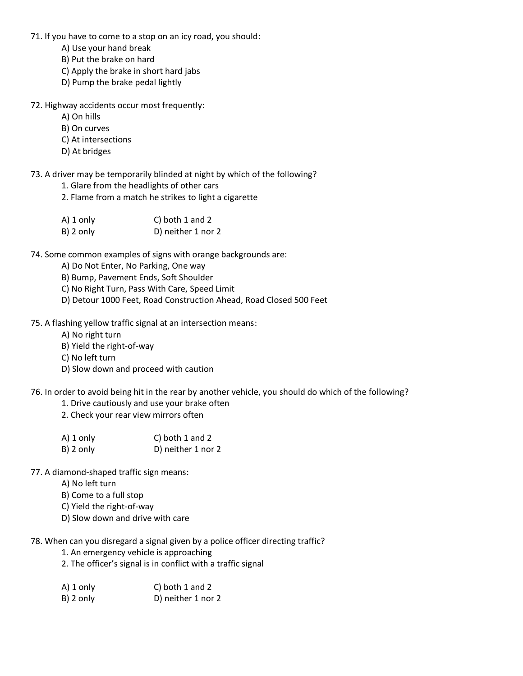- 71. If you have to come to a stop on an icy road, you should:
	- A) Use your hand break
	- B) Put the brake on hard
	- C) Apply the brake in short hard jabs
	- D) Pump the brake pedal lightly
- 72. Highway accidents occur most frequently:
	- A) On hills
	- B) On curves
	- C) At intersections
	- D) At bridges
- 73. A driver may be temporarily blinded at night by which of the following?
	- 1. Glare from the headlights of other cars
	- 2. Flame from a match he strikes to light a cigarette

| A) 1 only    | C) both 1 and 2    |
|--------------|--------------------|
| $B$ ) 2 only | D) neither 1 nor 2 |

- 74. Some common examples of signs with orange backgrounds are:
	- A) Do Not Enter, No Parking, One way
	- B) Bump, Pavement Ends, Soft Shoulder
	- C) No Right Turn, Pass With Care, Speed Limit
	- D) Detour 1000 Feet, Road Construction Ahead, Road Closed 500 Feet
- 75. A flashing yellow traffic signal at an intersection means:
	- A) No right turn
	- B) Yield the right-of-way
	- C) No left turn
	- D) Slow down and proceed with caution
- 76. In order to avoid being hit in the rear by another vehicle, you should do which of the following?
	- 1. Drive cautiously and use your brake often
	- 2. Check your rear view mirrors often
	- A) 1 only C) both 1 and 2 B) 2 only D) neither 1 nor 2
- 77. A diamond-shaped traffic sign means:
	- A) No left turn
	- B) Come to a full stop
	- C) Yield the right-of-way
	- D) Slow down and drive with care

78. When can you disregard a signal given by a police officer directing traffic?

- 1. An emergency vehicle is approaching
- 2. The officer's signal is in conflict with a traffic signal
- A) 1 only C) both 1 and 2 B) 2 only D) neither 1 nor 2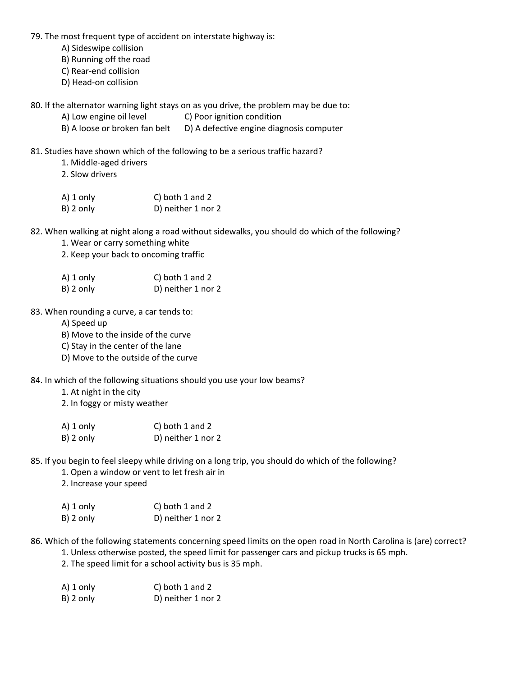79. The most frequent type of accident on interstate highway is:

- A) Sideswipe collision
- B) Running off the road
- C) Rear-end collision
- D) Head-on collision

80. If the alternator warning light stays on as you drive, the problem may be due to:

- A) Low engine oil level C) Poor ignition condition
- B) A loose or broken fan belt D) A defective engine diagnosis computer
- 81. Studies have shown which of the following to be a serious traffic hazard?
	- 1. Middle-aged drivers
	- 2. Slow drivers
	- A) 1 only C) both 1 and 2 B) 2 only D) neither 1 nor 2

82. When walking at night along a road without sidewalks, you should do which of the following?

- 1. Wear or carry something white
- 2. Keep your back to oncoming traffic
- A) 1 only C) both 1 and 2 B) 2 only D) neither 1 nor 2

83. When rounding a curve, a car tends to:

- A) Speed up
- B) Move to the inside of the curve
- C) Stay in the center of the lane
- D) Move to the outside of the curve
- 84. In which of the following situations should you use your low beams?
	- 1. At night in the city
	- 2. In foggy or misty weather

| A) 1 only    | C) both 1 and 2    |
|--------------|--------------------|
| $B$ ) 2 only | D) neither 1 nor 2 |

85. If you begin to feel sleepy while driving on a long trip, you should do which of the following?

- 1. Open a window or vent to let fresh air in
- 2. Increase your speed

| A) 1 only    | C) both 1 and 2    |
|--------------|--------------------|
| $B$ ) 2 only | D) neither 1 nor 2 |

86. Which of the following statements concerning speed limits on the open road in North Carolina is (are) correct?

- 1. Unless otherwise posted, the speed limit for passenger cars and pickup trucks is 65 mph.
- 2. The speed limit for a school activity bus is 35 mph.

| A) 1 only | C) both 1 and 2    |
|-----------|--------------------|
| B) 2 only | D) neither 1 nor 2 |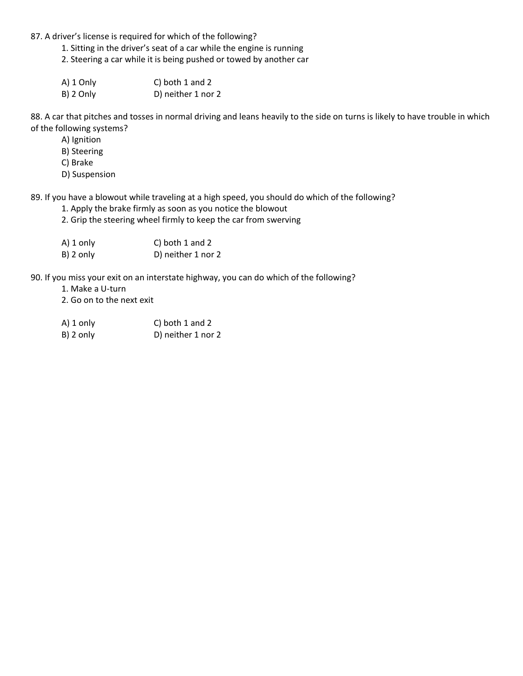87. A driver's license is required for which of the following?

1. Sitting in the driver's seat of a car while the engine is running

2. Steering a car while it is being pushed or towed by another car

A) 1 Only C) both 1 and 2 B) 2 Only D) neither 1 nor 2

88. A car that pitches and tosses in normal driving and leans heavily to the side on turns is likely to have trouble in which of the following systems?

- A) Ignition
- B) Steering
- C) Brake
- D) Suspension

89. If you have a blowout while traveling at a high speed, you should do which of the following?

- 1. Apply the brake firmly as soon as you notice the blowout
- 2. Grip the steering wheel firmly to keep the car from swerving

| $A)$ 1 only  | C) both $1$ and $2$ |
|--------------|---------------------|
| $B$ ) 2 only | D) neither 1 nor 2  |

90. If you miss your exit on an interstate highway, you can do which of the following?

- 1. Make a U-turn
- 2. Go on to the next exit
- A) 1 only C) both 1 and 2
- B) 2 only D) neither 1 nor 2